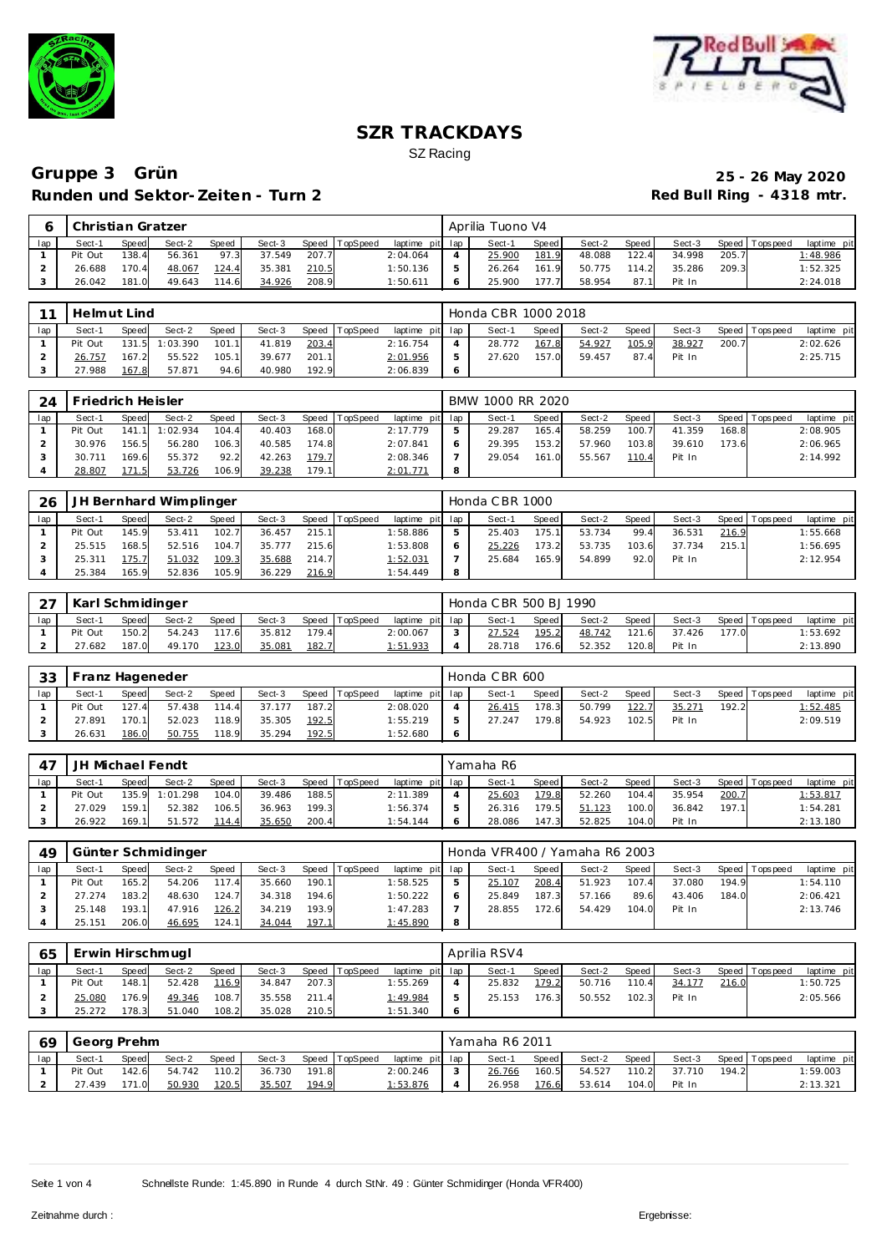



|     | I Christian Gratzer |       |        |       |        |       |          |                 |   | Aprilia Tuono V4 |       |        |       |        |       |                  |             |
|-----|---------------------|-------|--------|-------|--------|-------|----------|-----------------|---|------------------|-------|--------|-------|--------|-------|------------------|-------------|
| lap | Sect-1              | Speed | Sect-2 | Speed | Sect-3 | Speed | TopSpeed | laptime pit lap |   | Sect-1           | Speed | Sect-2 | Speed | Sect-3 |       | Speed   Topspeed | laptime pit |
|     | Pit Out             | 138.4 | 56.361 | 97.3  | 37.549 | 207.7 |          | 2:04.064        | 4 | 25.900           | 181.9 | 48.088 | 122.4 | 34.998 | 205.7 |                  | 1:48.986    |
|     | 26.688              | 170.4 | 48.067 | 124.4 | 35.381 | 210.5 |          | 1:50.136        | 5 | 26.264           | 161.9 | 50.775 | 114.2 | 35.286 | 209.3 |                  | 1:52.325    |
|     | 26.042              | 181.0 | 49.643 | 114.6 | 34.926 | 208.9 |          | 1:50.611        | 6 | 25.900           | 177.7 | 58.954 | 87.1  | Pit In |       |                  | 2:24.018    |

| $\sim$ | Helmut Lind |       |                |       |        |       |                |                 | Honda CBR 1000 2018 |       |        |       |        |       |                   |             |
|--------|-------------|-------|----------------|-------|--------|-------|----------------|-----------------|---------------------|-------|--------|-------|--------|-------|-------------------|-------------|
| lap    | Sect-1      | Speed | Sect-2         | Speed | Sect-3 |       | Speed TopSpeed | laptime pit lap | Sect-1              | Speed | Sect-2 | Speed | Sect-3 |       | Speed   Tops peed | laptime pit |
|        | Pit Out     |       | 131.5 1:03.390 | 101.1 | 41.819 | 203.4 |                | 2:16.754        | 28.772              | 167.8 | 54.927 | 105.9 | 38.927 | 200.7 |                   | 2:02.626    |
|        | 26.757      | 167.2 | 55.522         | 105.1 | 39.677 | 201.1 |                | 2:01.956        | 27.620              | 157.0 | 59.457 | 87.4  | Pit In |       |                   | 2:25.715    |
|        | 27.988      | 167.8 | 57.871         | 94.6  | 40.980 | 192.9 |                | 2:06.839        |                     |       |        |       |        |       |                   |             |

| 24  | Friedrich Heisler |       |                |              |        |       |          |                  | BMW 1000 RR 2020 |       |        |       |        |       |                |             |
|-----|-------------------|-------|----------------|--------------|--------|-------|----------|------------------|------------------|-------|--------|-------|--------|-------|----------------|-------------|
| lap | Sect-1            | Speed | Sect-2         | <b>Speed</b> | Sect-3 | Speed | TopSpeed | laptime pit lap  | Sect-1           | Speed | Sect-2 | Speed | Sect-3 |       | Speed Topspeed | laptime pit |
|     | Pit Out           |       | 141.1 1:02.934 | 104.4        | 40.403 | 168.0 |          | 2:17.779         | 29.287           | 165.4 | 58.259 | 100.7 | 41.359 | 168.8 |                | 2:08.905    |
|     | 30.976            | 156.5 | 56.280         | 106.3        | 40.585 | 174.8 |          | 2:07.841         | 29.395           | 153.2 | 57.960 | 103.8 | 39.610 | 173.6 |                | 2:06.965    |
|     | 30.<br>. 711      | 169.6 | 55.372         | 92.2         | 42.263 | 179.7 |          | 2:08.346         | 29.054           | 161.0 | 55.567 | 110.4 | Pit In |       |                | 2:14.992    |
|     | 28.807            | '71.5 | 53.726         | 106.9        | 39.238 | 179.1 |          | <u> 2:01.771</u> |                  |       |        |       |        |       |                |             |

| 26  |         |       | JH Bernhard Wimplinger |       |        |       |          |                 |   | Honda CBR 1000 |        |        |         |        |       |                 |             |
|-----|---------|-------|------------------------|-------|--------|-------|----------|-----------------|---|----------------|--------|--------|---------|--------|-------|-----------------|-------------|
| lap | Sect-1  | Speed | Sect-2                 | Speed | Sect-3 | Speed | TopSpeed | laptime pit lap |   | Sect-1         | Speed  | Sect-2 | Speed I | Sect-3 |       | Speed Tops peed | laptime pit |
|     | Pit Out | 145.9 | 53.411                 | 102.7 | 36.457 | 215.1 |          | 1:58.886        |   | 25.403         | 175.1. | 53.734 | 99.4    | 36.531 | 216.9 |                 | 1:55.668    |
|     | 25.515  | 168.5 | 52.516                 | 104.7 | 35.777 | 215.6 |          | 1:53.808        |   | 25.226         | 173.2  | 53.735 | 103.6   | 37.734 | 215.1 |                 | 1:56.695    |
|     | 25.311  | 175.7 | 51.032                 | 109.3 | 35.688 | 214.7 |          | 1:52.031        |   | 25.684         | 165.9  | 54.899 | 92.0    | Pit In |       |                 | 2:12.954    |
|     | 25.384  | 165.9 | 52.836                 | 105.9 | 36.229 | 216.9 |          | 1:54.449        | 8 |                |        |        |         |        |       |                 |             |

| $\sim$ $\rightarrow$ | Karl Schmidinger |       |        |              |        |       |                |                 | Honda C BR 500 BJ 1990 |         |        |       |        |       |                 |             |
|----------------------|------------------|-------|--------|--------------|--------|-------|----------------|-----------------|------------------------|---------|--------|-------|--------|-------|-----------------|-------------|
| lap                  | Sect-1           | Speed | Sect-2 | <b>Speed</b> | Sect-3 |       | Speed TopSpeed | laptime pit lap | Sect-1                 | Speed I | Sect-2 | Speed | Sect-3 |       | Speed Tops peed | laptime pit |
|                      | Pit Out          | 150.2 | 54.243 | 117.6        | 35.812 | 179.4 |                | 2:00.067        | 27.524                 | 195.2   | 48.742 | 121.6 | 37.426 | 177.0 |                 | 1:53.692    |
|                      | 27.682           | 187.0 | 49.170 | 123.0        | 35.081 | 182.7 |                | 1:51.933        | 28.718                 | 176.6   | 52.352 | 120.8 | Pit In |       |                 | 2:13.890    |

| -33 |         |       | Franz Hageneder . |       |        |       |                |                 |   | Honda CBR 600 |              |        |       |        |       |                |                 |
|-----|---------|-------|-------------------|-------|--------|-------|----------------|-----------------|---|---------------|--------------|--------|-------|--------|-------|----------------|-----------------|
| lap | Sect-1  | Speed | Sect-2            | Speed | Sect-3 |       | Speed TopSpeed | laptime pit lap |   | Sect-1        | <b>Speed</b> | Sect-2 | Speed | Sect-3 |       | Speed Topspeed | laptime pit     |
|     | Pit Out | 127.4 | 57.438            | 114.4 | 37.177 | 187.2 |                | 2:08.020        |   | 26.415        | 178.3        | 50.799 | 122.7 | 35.271 | 192.2 |                | <u>1:52.485</u> |
|     | 7.891   | 170.1 | 52.023            | 118.9 | 35.305 | 192.5 |                | 1:55.219        | Þ | 27.247        | 179.8        | 54.923 | 102.5 | Pit In |       |                | 2:09.519        |
|     | 26.631  | 186.0 | 50.755            | 118.9 | 35.294 | 192.5 |                | 1:52.680        | 6 |               |              |        |       |        |       |                |                 |

| $\lambda$ | JH Michael Fendt |       |                |              |        |       |                |                 | Yamaha R6 |       |        |         |        |       |                |                 |
|-----------|------------------|-------|----------------|--------------|--------|-------|----------------|-----------------|-----------|-------|--------|---------|--------|-------|----------------|-----------------|
| lap       | Sect-1           | Speed | Sect-2         | <b>Speed</b> | Sect-3 |       | Speed TopSpeed | laptime pit lap | Sect-1    | Speed | Sect-2 | Speed I | Sect-3 |       | Speed Topspeed | laptime pit     |
|           | Pit Out          |       | 135.9 1:01.298 | 104.0        | 39.486 | 188.5 |                | 2:11.389        | 25.603    | 179.8 | 52.260 | 104.4   | 35.954 | 200.7 |                | <u>1:53.817</u> |
|           | 27.029           | 159.1 | 52.382         | 106.5        | 36.963 | 199.3 |                | 1:56.374        | 26.316    | 179.5 | 51.123 | 100.0   | 36.842 | 197.1 |                | 1:54.281        |
|           | 26.922           | 169.1 | 51.572         | 114.4        | 35.650 | 200.4 |                | 1:54.144        | 28.086    | 147.3 | 52.825 | 104.0   | Pit In |       |                | 2:13.180        |

|     |         |       | Günter Schmidinger |       |        |       |                 |                 |   | Honda VFR400 / Yamaha R6 2003 |       |        |       |        |       |                |             |
|-----|---------|-------|--------------------|-------|--------|-------|-----------------|-----------------|---|-------------------------------|-------|--------|-------|--------|-------|----------------|-------------|
| lap | Sect-1  | Speed | Sect-2             | Speed | Sect-3 | Speed | <b>TopSpeed</b> | laptime pit lap |   | Sect-1                        | Speed | Sect-2 | Speed | Sect-3 |       | Speed Topspeed | laptime pit |
|     | Pit Out | 165.2 | 54.206             | 117.4 | 35.660 | 190.1 |                 | 1:58.525        |   | 25.107                        | 208.4 | 51.923 | 107.4 | 37.080 | 194.9 |                | 1:54.110    |
|     | 27.274  | 183.2 | 48.630             | 124.7 | 34.318 | 194.6 |                 | 1:50.222        |   | 25.849                        | 187.3 | 57.166 | 89.6  | 43.406 | 184.0 |                | 2:06.421    |
|     | 25.148  | 193.1 | 47.916             | 126.2 | 34.219 | 193.9 |                 | 1:47.283        |   | 28.855                        | 172.6 | 54.429 | 104.0 | Pit In |       |                | 2:13.746    |
|     | 25.151  | 206.0 | 46.695             | 124.1 | 34.044 | 197.1 |                 | 1:45.890        | 8 |                               |       |        |       |        |       |                |             |

| 65  | Erwin Hirschmugl |              |        |              |        |       |          |                 | Aprilia RSV4 |         |        |       |        |       |                |             |
|-----|------------------|--------------|--------|--------------|--------|-------|----------|-----------------|--------------|---------|--------|-------|--------|-------|----------------|-------------|
| lap | Sect-1           | <b>Speed</b> | Sect-2 | <b>Speed</b> | Sect-3 | Speed | TopSpeed | laptime pit lap | Sect-1       | Speed I | Sect-2 | Speed | Sect-3 |       | Speed Topspeed | laptime pit |
|     | Pit Out          | 148.1        | 52.428 | 116.9        | 34.847 | 207.3 |          | 1:55.269        | 25.832       | 179.2   | 50.716 | 110.4 | 34.177 | 216.0 |                | 1:50.725    |
|     | 25.080           | 176.9        | 49.346 | 108.7        | 35.558 | 211.4 |          | 1:49.984        | 25.153       | 176.3   | 50.552 | 102.3 | Pit In |       |                | 2:05.566    |
|     | 25.272           | 178.3        | 51.040 | 108.2        | 35.028 | 210.5 |          | 1:51.340        |              |         |        |       |        |       |                |             |

| 69  | Georg Prehm |       |        |              |        |       |          |                 | Yamaha R6 2011 |       |        |         |        |       |                   |             |
|-----|-------------|-------|--------|--------------|--------|-------|----------|-----------------|----------------|-------|--------|---------|--------|-------|-------------------|-------------|
| lap | Sect-1      | Speed | Sect-2 | <b>Speed</b> | Sect-3 | Speed | TopSpeed | laptime pit lap | Sect-1         | Speed | Sect-2 | Speed I | Sect-3 |       | Speed   Tops peed | laptime pit |
|     | Pit Out     | 142.6 | 54.742 | 110.2        | 36.730 | 191.8 |          | 2:00.246        | 26.766         | 160.5 | 54.527 | 110.2   | 37.710 | 194.2 |                   | 1:59.003    |
| ∠   | .439        | 71.0  | 50.930 | 120.5        | 35.507 | 194.9 |          | 1:53.876        | 26.958         | 176.6 | 53.614 | 104.0   | Pit In |       |                   | 2:13.321    |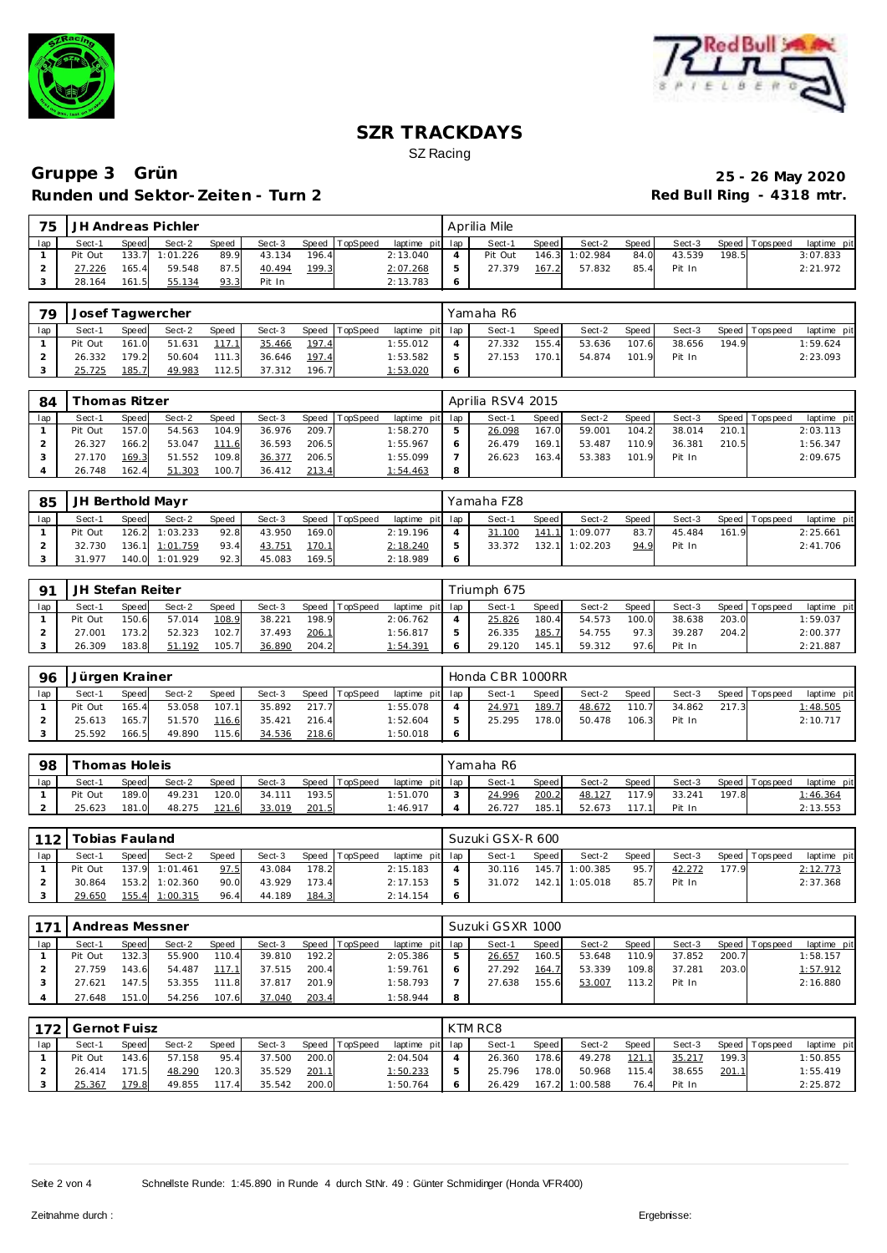



| 75 |                    |       | JH Andreas Pichler |       |        |       |                |                 | Aprilia Mile |       |                |       |        |       |                |             |
|----|--------------------|-------|--------------------|-------|--------|-------|----------------|-----------------|--------------|-------|----------------|-------|--------|-------|----------------|-------------|
|    | Sect-1             | Speed | Sect-2             | Speed | Sect-3 |       | Speed TopSpeed | laptime pit lap | Sect-1       | Speed | Sect-2         | Speed | Sect-3 |       | Speed Topspeed | laptime pit |
|    | Pit Out            |       | 133.7 1:01.226     | 89.9  | 43.134 | 196.4 |                | 2:13.040        | Pit Out      |       | 146.3 1:02.984 | 84.0  | 43.539 | 198.5 |                | 3:07.833    |
|    | <sup>2</sup> 7.226 | 165.4 | 59.548             | 87.5  | 40.494 | 199.3 |                | 2:07.268        | 27.379       | 167.2 | 57.832         | 85.4  | Pit In |       |                | 2:21.972    |
|    | 28.164             | 161.5 | 55.134             | 93.3  | Pit In |       |                | 2:13.783        |              |       |                |       |        |       |                |             |

| 79  | Josef Tagwercher |              |        |       |        |       |                |                 |         | Yamaha R6 |       |        |       |        |       |                |             |
|-----|------------------|--------------|--------|-------|--------|-------|----------------|-----------------|---------|-----------|-------|--------|-------|--------|-------|----------------|-------------|
| lap | Sect-1           | <b>Speed</b> | Sect-2 | Speed | Sect-3 |       | Speed TopSpeed | laptime pit lap |         | Sect-1    | Speed | Sect-2 | Speed | Sect-3 |       | Speed Topspeed | laptime pit |
|     | Pit Out          | 161.0        | 51.631 | 117.1 | 35.466 | 197.4 |                | 1:55.012        |         | 27.332    | 155.4 | 53.636 | 107.6 | 38.656 | 194.9 |                | 1:59.624    |
|     | 26.332           | 179.2        | 50.604 | 111.3 | 36.646 | 197.4 |                | 1:53.582        |         | 27.153    | 170.1 | 54.874 | 101.9 | Pit In |       |                | 2:23.093    |
|     | 25.725           | 185.7        | 49.983 | 112.5 | 37.312 | 196.7 |                | 1:53.020        | $\circ$ |           |       |        |       |        |       |                |             |

| 84  |         | Thomas Ritzer |        |              |        |       |                |                 |   | Aprilia RSV4 2015 |       |        |       |        |       |                 |             |
|-----|---------|---------------|--------|--------------|--------|-------|----------------|-----------------|---|-------------------|-------|--------|-------|--------|-------|-----------------|-------------|
| lap | Sect-1  | Speed         | Sect-2 | <b>Speed</b> | Sect-3 |       | Speed TopSpeed | laptime pit lap |   | Sect-1            | Speed | Sect-2 | Speed | Sect-3 |       | Speed Tops peed | laptime pit |
|     | Pit Out | 157.0         | 54.563 | 104.9        | 36.976 | 209.7 |                | 1:58.270        |   | 26.098            | 167.0 | 59.001 | 104.2 | 38.014 | 210.1 |                 | 2:03.113    |
|     | 26.327  | 166.2         | 53.047 | 111.6        | 36.593 | 206.5 |                | 1:55.967        |   | 26.479            | 169.1 | 53.487 | 110.9 | 36.381 | 210.5 |                 | 1:56.347    |
|     | 27.170  | 169.3         | 51.552 | 109.8        | 36.377 | 206.5 |                | 1:55.099        |   | 26.623            | 163.4 | 53.383 | 101.9 | Pit In |       |                 | 2:09.675    |
|     | 26.748  | 162.4         | 51.303 | 100.7        | 36.412 | 213.4 |                | 1:54.463        | 8 |                   |       |        |       |        |       |                 |             |

| 85  | JH Berthold Mayr |       |                |       |        |       |                |                 |    | Yamaha FZ8 |       |                |       |        |       |                 |             |
|-----|------------------|-------|----------------|-------|--------|-------|----------------|-----------------|----|------------|-------|----------------|-------|--------|-------|-----------------|-------------|
| lap | Sect-1           | Speed | Sect-2         | Speed | Sect-3 |       | Speed TopSpeed | laptime pit lap |    | Sect-1     | Speed | Sect-2         | Speed | Sect-3 |       | Speed Tops peed | laptime pit |
|     | Pit Out          |       | 126.2 1:03.233 | 92.8  | 43.950 | 169.0 |                | 2:19.196        |    | 31.100     |       | 141.1 1:09.077 | 83.7  | 45.484 | 161.9 |                 | 2:25.661    |
|     | 32.730           |       | 136.1 1:01.759 | 93.4  | 43.751 | 170.1 |                | 2:18.240        | ь  | 33.372     |       | 132.1 1:02.203 | 94.9  | Pit In |       |                 | 2:41.706    |
|     | 31.977           |       | 140.0 1:01.929 | 92.3  | 45.083 | 169.5 |                | 2:18.989        | -6 |            |       |                |       |        |       |                 |             |

| $\mathsf{O}^{\mathsf{T}}$ | JH Stefan Reiter |       |        |       |        |       |                 |                 | Triumph 675 |       |        |       |        |       |                |             |
|---------------------------|------------------|-------|--------|-------|--------|-------|-----------------|-----------------|-------------|-------|--------|-------|--------|-------|----------------|-------------|
| lap                       | Sect-1           | Speed | Sect-2 | Speed | Sect-3 | Speed | <b>TopSpeed</b> | laptime pit lap | Sect-1      | Speed | Sect-2 | Speed | Sect-3 |       | Speed Topspeed | laptime pit |
|                           | Pit Out          | 150.6 | 57.014 | 108.9 | 38.221 | 198.9 |                 | 2:06.762        | 25.826      | 180.4 | 54.573 | 100.0 | 38.638 | 203.0 |                | 1:59.037    |
|                           | 27.001           | 173.2 | 52.323 | 102.7 | 37.493 | 206.1 |                 | 1:56.817        | 26.335      | 185.7 | 54.755 | 97.3  | 39.287 | 204.2 |                | 2:00.377    |
|                           | 26.309           | 183.8 | 51.192 | 105.7 | 36.890 | 204.2 |                 | 1:54.391        | 29.120      | 145.1 | 59.312 | 97.6  | Pit In |       |                | 2:21.887    |

| 96  | Jürgen Krainer |       |        |       |        |       |                |                 | Honda CBR 1000RR |       |        |       |        |       |                |             |
|-----|----------------|-------|--------|-------|--------|-------|----------------|-----------------|------------------|-------|--------|-------|--------|-------|----------------|-------------|
| lap | Sect-1         | Speed | Sect-2 | Speed | Sect-3 |       | Speed TopSpeed | laptime pit lap | Sect-1           | Speed | Sect-2 | Speed | Sect-3 |       | Speed Topspeed | laptime pit |
|     | Pit Out        | 165.4 | 53.058 | 107.1 | 35.892 | 217.7 |                | 1:55.078        | 24.971           | 189.  | 48.672 | 110.7 | 34.862 | 217.3 |                | 1:48.505    |
|     | 25.613         | 165.7 | 51.570 | 116.6 | 35.421 | 216.4 |                | 1:52.604        | 25.295           | 178.0 | 50.478 | 106.3 | Pit In |       |                | 2:10.717    |
|     | 25.592         | 166.5 | 49.890 | 115.6 | 34.536 | 218.6 |                | 1:50.018        |                  |       |        |       |        |       |                |             |

| -98 |         | Thomas Holeis |        |       |        |       |                |                 |        | Yamaha R6 |       |        |       |        |       |                   |             |
|-----|---------|---------------|--------|-------|--------|-------|----------------|-----------------|--------|-----------|-------|--------|-------|--------|-------|-------------------|-------------|
| lap | Sect-1  | Speed         | Sect-2 | Speed | Sect-3 |       | Speed TopSpeed | laptime pit lap |        | Sect-     | Speed | Sect-2 | Speed | Sect-3 |       | Speed   Tops peed | laptime pit |
|     | Pit Out | 189.0         | 49.231 | 120.0 | 34.111 | 193.5 |                | 1:51.070        | $\sim$ | 24.996    | 200.2 |        | 17.9  | 33.241 | 197.8 |                   | 1:46.364    |
|     | 25.623  | 181.0         | 48.275 | 121.6 | 33.019 | 201.5 |                | 1:46.917        |        | 26.727    | 185.1 | 52.673 | 171   | Pit In |       |                   | 2:13.553    |

|     | 112 Tobias Fauland |       |                |              |        |       |                |                 | Suzuki GSX-R 600 |       |                |       |        |       |                 |             |
|-----|--------------------|-------|----------------|--------------|--------|-------|----------------|-----------------|------------------|-------|----------------|-------|--------|-------|-----------------|-------------|
| lap | Sect-1             | Speed | Sect-2         | <b>Speed</b> | Sect-3 |       | Speed TopSpeed | laptime pit lap | Sect-1           | Speed | Sect-2         | Speed | Sect-3 |       | Speed Tops peed | laptime pit |
|     | Pit Out            |       | 137.9 1:01.461 | 97.5         | 43.084 | 178.2 |                | 2:15.183        | 30.116           |       | 145.7 1:00.385 | 95.7  | 42.272 | 177.9 |                 | 2:12.773    |
|     | 30.864             | 153.2 | 1:02.360       | 90.0         | 43.929 | 173.4 |                | 2:17.153        | 31.072           |       | 142.1 1:05.018 | 85.7  | Pit In |       |                 | 2:37.368    |
|     | 29.650             | 155.4 | 1:00.315       | 96.4         | 44.189 | 184.3 |                | 2:14.154        |                  |       |                |       |        |       |                 |             |

| 171 | Andreas Messner |              |        |              |        |       |          |                 |   | Suzuki GSXR 1000 |         |        |       |        |       |                 |             |
|-----|-----------------|--------------|--------|--------------|--------|-------|----------|-----------------|---|------------------|---------|--------|-------|--------|-------|-----------------|-------------|
| lap | Sect-1          | <b>Speed</b> | Sect-2 | <b>Speed</b> | Sect-3 | Speed | TopSpeed | laptime pit lap |   | Sect-1           | Speed I | Sect-2 | Speed | Sect-3 |       | Speed Tops peed | laptime pit |
|     | Pit Out         | 132.3        | 55.900 | 110.4        | 39.810 | 192.2 |          | 2:05.386        |   | 26.657           | 160.5   | 53.648 | 110.9 | 37.852 | 200.7 |                 | 1:58.157    |
|     | 27.759          | 143.6        | 54.487 | 117.1        | 37.515 | 200.4 |          | 1:59.761        |   | 27.292           | 164.7   | 53.339 | 109.8 | 37.281 | 203.0 |                 | 1:57.912    |
|     | 27.621          | 147.5        | 53.355 | 111.8        | 37.817 | 201.9 |          | 1:58.793        |   | 27.638           | 155.6   | 53.007 | 113.2 | Pit In |       |                 | 2:16.880    |
|     | 27.648          | 151.0        | 54.256 | 107.6        | 37.040 | 203.4 |          | 1:58.944        | 8 |                  |         |        |       |        |       |                 |             |

|     | 172 Gernot Fuisz |              |        |       |        |       |          |                 | KTM RC8 |         |          |       |        |          |            |             |
|-----|------------------|--------------|--------|-------|--------|-------|----------|-----------------|---------|---------|----------|-------|--------|----------|------------|-------------|
| lap | Sect-1           | <b>Speed</b> | Sect-2 | Speed | Sect-3 | Speed | TopSpeed | laptime pit lap | Sect-1  | Speed I | Sect-2   | Speed | Sect-3 | Speed To | Tops pee d | laptime pit |
|     | Pit Out          | 143.6        | 57.158 | 95.4  | 37.500 | 200.0 |          | 2:04.504        | 26.360  | 178.6   | 49.278   | 121.7 | 35.217 | 199.3    |            | 1:50.855    |
|     | 26.414           | 171.5        | 48.290 | 120.3 | 35.529 | 201.1 |          | <u>1:50.233</u> | 25.796  | 178.0   | 50.968   | 115.4 | 38.655 | 201.1    |            | 1:55.419    |
|     | 25.367           | 179.8        | 49.855 | 117.4 | 35.542 | 200.0 |          | 1:50.764        | 26.429  | 167.2   | 1:00.588 | 76.4  | Pit In |          |            | 2:25.872    |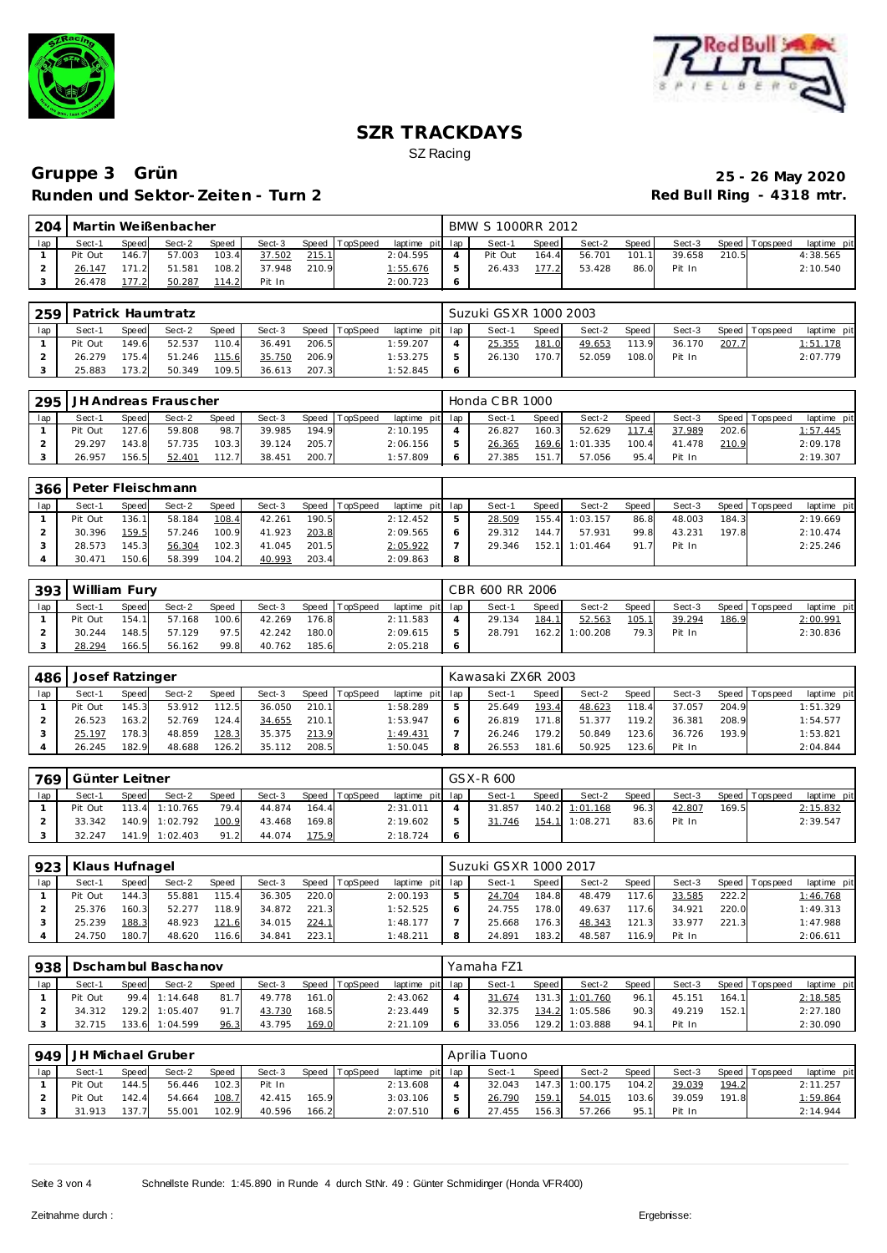



|     | 204   Martin Weißenbacher |              |        |       |        |       |                |                 |   | BMW S 1000RR 2012 |              |        |       |        |       |                |             |
|-----|---------------------------|--------------|--------|-------|--------|-------|----------------|-----------------|---|-------------------|--------------|--------|-------|--------|-------|----------------|-------------|
| lap | Sect-1                    | <b>Speed</b> | Sect-2 | Speed | Sect-3 |       | Speed TopSpeed | laptime pit lap |   | Sect-1            | <b>Speed</b> | Sect-2 | Speed | Sect-3 |       | Speed Topspeed | laptime pit |
|     | Pit Out                   | 146.7        | 57.003 | 103.4 | 37.502 | 215.1 |                | 2:04.595        |   | Pit Out           | 164.4        | 56.701 | 101.1 | 39.658 | 210.5 |                | 4:38.565    |
|     | 26.147                    |              | 51.581 | 108.2 | 37.948 | 210.9 |                | <u>1:55.676</u> |   | 26.433            | 177.2        | 53.428 | 86.0  | Pit In |       |                | 2:10.540    |
|     | 26.478                    | 77.2         | 50.287 | 1142  | Pit In |       |                | 2:00.723        | Ô |                   |              |        |       |        |       |                |             |

|     | 259   Patrick Haumtratz |       |        |       |        |       |                |                 | Suzuki GSXR 1000 2003 |       |        |       |        |       |                   |             |
|-----|-------------------------|-------|--------|-------|--------|-------|----------------|-----------------|-----------------------|-------|--------|-------|--------|-------|-------------------|-------------|
| lap | Sect-1                  | Speed | Sect-2 | Speed | Sect-3 |       | Speed TopSpeed | laptime pit lap | Sect-1                | Speed | Sect-2 | Speed | Sect-3 |       | Speed   Tops peed | laptime pit |
|     | Pit Out                 | 149.6 | 52.537 | 110.4 | 36.491 | 206.5 |                | 1:59.207        | 25.355                | 181.0 | 49.653 | 113.9 | 36.170 | 207.7 |                   | 1:51.178    |
|     | 26.279                  | 175.4 | 51.246 | 115.6 | 35.750 | 206.9 |                | 1:53.275        | 26.130                | 170.7 | 52.059 | 108.0 | Pit In |       |                   | 2:07.779    |
|     | 25.883                  | 173.2 | 50.349 | 109.5 | 36.613 | 207.3 |                | 1:52.845        |                       |       |        |       |        |       |                   |             |

|     |         | 295 JH Andreas Frauscher<br><b>Speed</b><br>Speed TopSpeed<br>Speed<br>Sect-2<br>Sect-3<br>59.808<br>127.6<br>194.9<br>98.7<br>39.985 |        |       |        |       |  |                 |   | Honda CBR 1000 |       |                |       |        |       |                 |             |
|-----|---------|---------------------------------------------------------------------------------------------------------------------------------------|--------|-------|--------|-------|--|-----------------|---|----------------|-------|----------------|-------|--------|-------|-----------------|-------------|
| lap | Sect-1  |                                                                                                                                       |        |       |        |       |  | laptime pit lap |   | Sect-1         | Speed | Sect-2         | Speed | Sect-3 |       | Speed Tops peed | laptime pit |
|     | Pit Out |                                                                                                                                       |        |       |        |       |  | 2:10.195        |   | 26.827         | 160.3 | 52.629         | 117.4 | 37.989 | 202.6 |                 | 1:57.445    |
|     | 29.297  | 143.8                                                                                                                                 | 57.735 | 103.3 | 39.124 | 205.7 |  | 2:06.156        |   | 26.365         |       | 169.6 1:01.335 | 100.4 | 41.478 | 210.9 |                 | 2:09.178    |
|     | 26.957  | 156.5                                                                                                                                 | 52.401 | 112.7 | 38.451 | 200.7 |  | 1:57.809        | 6 | 27.385         | 151.7 | 57.056         | 95.4  | Pit In |       |                 | 2:19.307    |

| 366 |         |        | Peter Fleischmann |       |        |       |                |                 |        |       |          |       |        |       |                 |             |
|-----|---------|--------|-------------------|-------|--------|-------|----------------|-----------------|--------|-------|----------|-------|--------|-------|-----------------|-------------|
| lap | Sect-1  | Speed  | Sect-2            | Speed | Sect-3 |       | Speed TopSpeed | laptime pit lap | Sect-1 | Speed | Sect-2   | Speed | Sect-3 |       | Speed Tops peed | laptime pit |
|     | Pit Out | 136.11 | 58.184            | 108.4 | 42.261 | 190.5 |                | 2:12.452        | 28.509 | 155.4 | 1:03.157 | 86.8  | 48.003 | 184.3 |                 | 2:19.669    |
|     | 30.396  | 159.5  | 57.246            | 100.9 | 41.923 | 203.8 |                | 2:09.565        | 29.312 | 144.7 | 57.931   | 99.8  | 43.231 | 197.8 |                 | 2:10.474    |
|     | 28.573  | 145.3  | 56.304            | 102.3 | 41.045 | 201.5 |                | 2:05.922        | 29.346 | 152.1 | 1:01.464 | 91.7  | Pit In |       |                 | 2:25.246    |
|     | 30.471  | 150.6  | 58.399            | 104.2 | 40.993 | 203.4 |                | 2:09.863        |        |       |          |       |        |       |                 |             |

| 393 | William Fury |       |        |       |        |       |                |                 |   | CBR 600 RR 2006 |       |                |       |        |       |                   |             |
|-----|--------------|-------|--------|-------|--------|-------|----------------|-----------------|---|-----------------|-------|----------------|-------|--------|-------|-------------------|-------------|
|     | Sect-1       | Speed | Sect-2 | Speed | Sect-3 |       | Speed TopSpeed | laptime pit lap |   | Sect-1          | Speed | Sect-2         | Speed | Sect-3 |       | Speed   Tops peed | laptime pit |
|     | Pit Out      | 154.1 | 57.168 | 100.6 | 42.269 | 176.8 |                | 2:11.583        |   | 29.134          | 184.1 | 52.563         | 105.1 | 39.294 | 186.9 |                   | 2:00.991    |
|     | 30.244       | 148.5 | 57.129 | 97.5  | 42.242 | 180.0 |                | 2:09.615        | b | 28.791          |       | 162.2 1:00.208 | 79.3  | Pit In |       |                   | 2:30.836    |
|     | 28.294       | 166.5 | 56.162 | 99.8  | 40.762 | 185.6 |                | 2:05.218        |   |                 |       |                |       |        |       |                   |             |

| 486 | Josef Ratzinger |       |        |        |        |       |                |                 |         | Kawasaki ZX6R 2003 |       |        |       |        |       |                |             |
|-----|-----------------|-------|--------|--------|--------|-------|----------------|-----------------|---------|--------------------|-------|--------|-------|--------|-------|----------------|-------------|
| lap | Sect-1          | Speed | Sect-2 | Speed  | Sect-3 |       | Speed TopSpeed | laptime         | pit lap | Sect-1             | Speed | Sect-2 | Speed | Sect-3 |       | Speed Topspeed | laptime pit |
|     | Pit Out         | 145.3 | 53.912 | 112.51 | 36.050 | 210.1 |                | 1:58.289        | ь       | 25.649             | 193.4 | 48.623 | 18.4  | 37.057 | 204.9 |                | 1:51.329    |
|     | 26.523          | 163.2 | 52.769 | 124.4  | 34.655 | 210.1 |                | 1:53.947        | 6       | 26.819             | 171.8 | 51.377 | 119.2 | 36.381 | 208.9 |                | 1:54.577    |
|     | 25.197          | 178.3 | 48.859 | 128.3  | 35.375 | 213.9 |                | <u>1:49.431</u> |         | 26.246             | 179.2 | 50.849 | 123.6 | 36.726 | 193.9 |                | 1:53.821    |
|     | 26.245          | 182.9 | 48.688 | 126.2  | 35.112 | 208.5 |                | 1:50.045        | 8       | 26.553             | 181.6 | 50.925 | 123.6 | Pit In |       |                | 2:04.844    |

|     | 1769 Günter Leitner<br>Speed<br>Speed TopSpeed<br>Sect-3<br>Speed<br>Sect-2<br>Sect-1<br>113.4 1:10.765<br>79.4<br>Pit Out<br>164.4<br>44.874 |  |                |       |        |       |  |                 | GSX-R 600 |       |                |       |        |       |                 |             |
|-----|-----------------------------------------------------------------------------------------------------------------------------------------------|--|----------------|-------|--------|-------|--|-----------------|-----------|-------|----------------|-------|--------|-------|-----------------|-------------|
| lap |                                                                                                                                               |  |                |       |        |       |  | laptime pit lap | Sect-1    | Speed | Sect-2         | Speed | Sect-3 |       | Speed Tops peed | laptime pit |
|     |                                                                                                                                               |  |                |       |        |       |  | 2:31.011        | 31.857    |       | 140.2 1:01.168 | 96.3  | 42.807 | 169.5 |                 | 2:15.832    |
|     | 33.342                                                                                                                                        |  | 140.9 1:02.792 | 100.9 | 43.468 | 169.8 |  | 2:19.602        | 31.746    |       | 154.1 1:08.271 | 83.6  | Pit In |       |                 | 2:39.547    |
|     | 32.247                                                                                                                                        |  | 141.9 1:02.403 | 91.2  | 44.074 | 175.9 |  | 2:18.724        |           |       |                |       |        |       |                 |             |

|     | 923   Klaus Hufnagel |       |        |              |        |       |                |                 | Suzuki GSXR 1000 2017 |       |        |       |        |       |                |             |
|-----|----------------------|-------|--------|--------------|--------|-------|----------------|-----------------|-----------------------|-------|--------|-------|--------|-------|----------------|-------------|
| lap | Sect-1               | Speed | Sect-2 | <b>Speed</b> | Sect-3 |       | Speed TopSpeed | laptime pit lap | Sect-1                | Speed | Sect-2 | Speed | Sect-3 |       | Speed Topspeed | laptime pit |
|     | Pit Out              | 144.3 | 55.881 | 115.4        | 36.305 | 220.0 |                | 2:00.193        | 24.704                | 184.8 | 48.479 | 117.6 | 33.585 | 222.2 |                | 1:46.768    |
|     | 25.376               | 160.3 | 52.277 | 118.9        | 34.872 | 221.3 |                | 1:52.525        | 24.755                | 178.0 | 49.637 | 117.6 | 34.921 | 220.0 |                | 1:49.313    |
|     | 25.239               | 188.3 | 48.923 | 121.6        | 34.015 | 224.1 |                | 1:48.177        | 25.668                | 176.3 | 48.343 | 121.3 | 33.977 | 221.3 |                | 1:47.988    |
|     | 24.750               | 180.7 | 48.620 | 116.6        | 34.841 | 223.1 |                | 1:48.211        | 24.891                | 183.2 | 48.587 | 116.9 | Pit In |       |                | 2:06.611    |

|     | 938   Dschambul Baschanov |       |               |              |        |       |                |             |     | Yamaha FZ1 |       |                |              |        |       |                |             |
|-----|---------------------------|-------|---------------|--------------|--------|-------|----------------|-------------|-----|------------|-------|----------------|--------------|--------|-------|----------------|-------------|
| lap | Sect-1                    | Speed | Sect-2        | <b>Speed</b> | Sect-3 |       | Speed TopSpeed | laptime pit | lap | Sect-1     | Speed | Sect-2         | <b>Speed</b> | Sect-3 |       | Speed Topspeed | laptime pit |
|     | Pit Out                   |       | 99.4 1:14.648 | 81.7         | 49.778 | 161.0 |                | 2:43.062    |     | 31.674     |       | 131.3 1:01.760 | 96.1         | 45.151 | 164.1 |                | 2:18.585    |
|     | 34.312                    | 129.2 | 1:05.407      | 91.7         | 43.730 | 168.5 |                | 2:23.449    |     | 32.375     |       | 134.2 1:05.586 | 90.3         | 49.219 | 152.1 |                | 2:27.180    |
|     | 32.715                    | 133.6 | 1:04.599      | 96.3         | 43.795 | 169.0 |                | 2:21.109    |     | 33.056     | 129.2 | 1:03.888       | 94.1         | Pit In |       |                | 2:30.090    |

| 949 | JH Michael Gruber |              |        |              |        |       |                |                 | Aprilia Tuono |       |                |       |        |       |                |             |
|-----|-------------------|--------------|--------|--------------|--------|-------|----------------|-----------------|---------------|-------|----------------|-------|--------|-------|----------------|-------------|
| lap | Sect-1            | <b>Speed</b> | Sect-2 | <b>Speed</b> | Sect-3 |       | Speed TopSpeed | laptime pit lap | Sect-1        | Speed | Sect-2         | Speed | Sect-3 |       | Speed Topspeed | laptime pit |
|     | Pit Out           | 144.5        | 56.446 | 102.3        | Pit In |       |                | 2:13.608        | 32.043        |       | 147.3 1:00.175 | 104.2 | 39.039 | 194.2 |                | 2:11.257    |
|     | Pit Out           | 142.4        | 54.664 | 108.7        | 42.415 | 165.9 |                | 3:03.106        | 26.790        | 159.1 | 54.015         | 103.6 | 39.059 | 191.8 |                | 1:59.864    |
|     | 31.913            | 137.7        | 55.001 | 102.9        | 40.596 | 166.2 |                | 2:07.510        | 27.455        | 156.3 | 57.266         | 95.1  | Pit In |       |                | 2:14.944    |